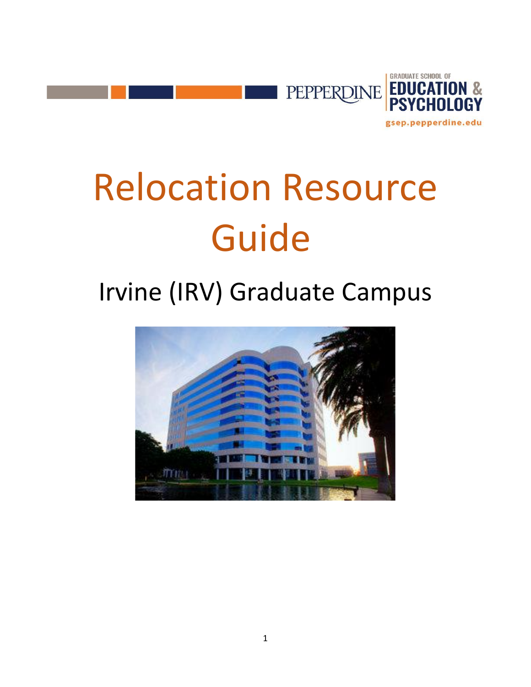

# Relocation Resource Guide

## Irvine (IRV) Graduate Campus

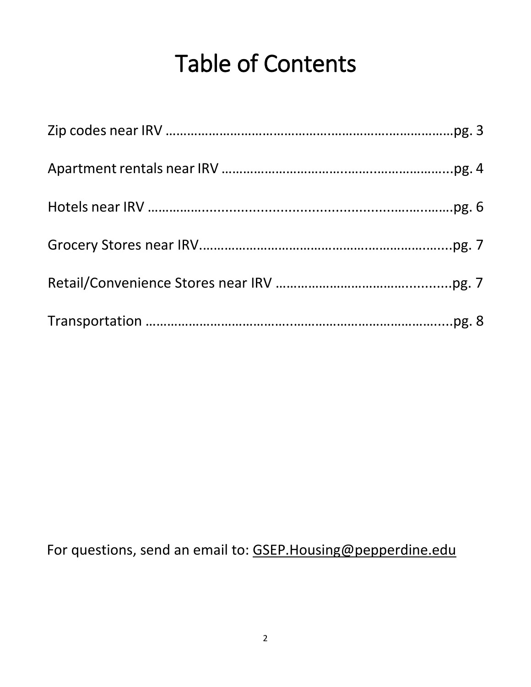## Table of Contents

For questions, send an email to: [GSEP.Housing@pepperdine.edu](mailto:GSEP.Housing@pepperdine.edu)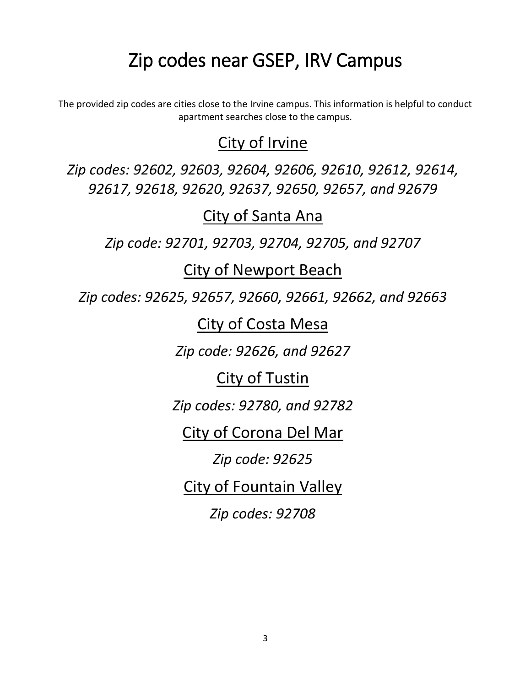## Zip codes near GSEP, IRV Campus

The provided zip codes are cities close to the Irvine campus. This information is helpful to conduct apartment searches close to the campus.

### City of Irvine

*Zip codes: 92602, 92603, 92604, 92606, 92610, 92612, 92614, 92617, 92618, 92620, 92637, 92650, 92657, and 92679*

#### City of Santa Ana

*Zip code: 92701, 92703, 92704, 92705, and 92707*

#### City of Newport Beach

*Zip codes: 92625, 92657, 92660, 92661, 92662, and 92663*

City of Costa Mesa

*Zip code: 92626, and 92627*

#### City of Tustin

*Zip codes: 92780, and 92782*

#### City of Corona Del Mar

#### *Zip code: 92625*

#### City of Fountain Valley

*Zip codes: 92708*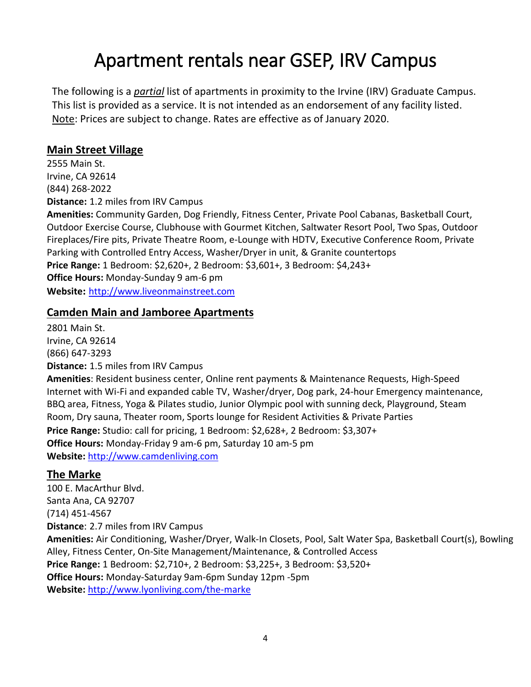## Apartment rentals near GSEP, IRV Campus

The following is a *partial* list of apartments in proximity to the Irvine (IRV) Graduate Campus. This list is provided as a service. It is not intended as an endorsement of any facility listed. Note: Prices are subject to change. Rates are effective as of January 2020.

#### **Main Street Village**

2555 Main St. Irvine, CA 92614 (844) 268-2022 **Distance:** 1.2 miles from IRV Campus

**Amenities:** Community Garden, Dog Friendly, Fitness Center, Private Pool Cabanas, Basketball Court, Outdoor Exercise Course, Clubhouse with Gourmet Kitchen, Saltwater Resort Pool, Two Spas, Outdoor Fireplaces/Fire pits, Private Theatre Room, e-Lounge with HDTV, Executive Conference Room, Private Parking with Controlled Entry Access, Washer/Dryer in unit, & Granite countertops **Price Range:** 1 Bedroom: \$2,620+, 2 Bedroom: \$3,601+, 3 Bedroom: \$4,243+ **Office Hours:** Monday-Sunday 9 am-6 pm **Website:** [http://www.liveonmainstreet.com](http://www.liveonmainstreet.com/)

#### **Camden Main and Jamboree Apartments**

2801 Main St. Irvine, CA 92614 (866) 647-3293

**Distance:** 1.5 miles from IRV Campus

**Amenities**: Resident business center, Online rent payments & Maintenance Requests, High-Speed Internet with Wi-Fi and expanded cable TV, Washer/dryer, Dog park, 24-hour Emergency maintenance, BBQ area, Fitness, Yoga & Pilates studio, Junior Olympic pool with sunning deck, Playground, Steam Room, Dry sauna, Theater room, Sports lounge for Resident Activities & Private Parties **Price Range:** Studio: call for pricing, 1 Bedroom: \$2,628+, 2 Bedroom: \$3,307+ **Office Hours:** Monday-Friday 9 am-6 pm, Saturday 10 am-5 pm **Website:** [http://www.camdenliving.com](http://www.camdenliving.com/irvine-ca-apartments/camden-main-and-jamboree)

#### **The Marke**

100 E. MacArthur Blvd. Santa Ana, CA 92707 (714) 451-4567 **Distance**: 2.7 miles from IRV Campus **Amenities:** Air Conditioning, Washer/Dryer, Walk-In Closets, Pool, Salt Water Spa, Basketball Court(s), Bowling Alley, Fitness Center, On-Site Management/Maintenance, & Controlled Access **Price Range:** 1 Bedroom: \$2,710+, 2 Bedroom: \$3,225+, 3 Bedroom: \$3,520+ **Office Hours:** Monday-Saturday 9am-6pm Sunday 12pm -5pm **Website:** [http://www.lyonliving.com/the-marke](http://www.lyonliving.com/the-marke/)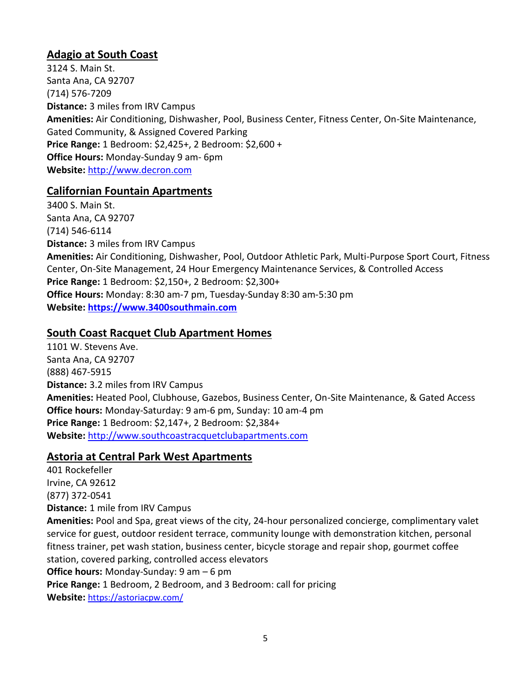#### **Adagio at South Coast**

3124 S. Main St. Santa Ana, CA 92707 (714) 576-7209 **Distance:** 3 miles from IRV Campus **Amenities:** Air Conditioning, Dishwasher, Pool, Business Center, Fitness Center, On-Site Maintenance, Gated Community, & Assigned Covered Parking **Price Range:** 1 Bedroom: \$2,425+, 2 Bedroom: \$2,600 + **Office Hours:** Monday-Sunday 9 am- 6pm **Website:** [http://www.decron.com](http://www.decron.com/apartments/adagio-at-south-coast)

#### **Californian Fountain Apartments**

3400 S. Main St. Santa Ana, CA 92707 (714) 546-6114 **Distance:** 3 miles from IRV Campus **Amenities:** Air Conditioning, Dishwasher, Pool, Outdoor Athletic Park, Multi-Purpose Sport Court, Fitness Center, On-Site Management, 24 Hour Emergency Maintenance Services, & Controlled Access **Price Range:** 1 Bedroom: \$2,150+, 2 Bedroom: \$2,300+ **Office Hours:** Monday: 8:30 am-7 pm, Tuesday-Sunday 8:30 am-5:30 pm **Website: [https://www.3400southmain.com](https://www.3400southmain.com/)**

#### **South Coast Racquet Club Apartment Homes**

1101 W. Stevens Ave. Santa Ana, CA 92707 (888) 467-5915 **Distance:** 3.2 miles from IRV Campus **Amenities:** Heated Pool, Clubhouse, Gazebos, Business Center, On-Site Maintenance, & Gated Access **Office hours:** Monday-Saturday: 9 am-6 pm, Sunday: 10 am-4 pm **Price Range:** 1 Bedroom: \$2,147+, 2 Bedroom: \$2,384+ **Website:** [http://www.southcoastracquetclubapartments.com](http://www.southcoastracquetclubapartments.com/)

#### **Astoria at Central Park West Apartments**

401 Rockefeller Irvine, CA 92612 (877) 372-0541 **Distance:** 1 mile from IRV Campus **Amenities:** Pool and Spa, great views of the city, 24-hour personalized concierge, complimentary valet

service for guest, outdoor resident terrace, community lounge with demonstration kitchen, personal fitness trainer, pet wash station, business center, bicycle storage and repair shop, gourmet coffee station, covered parking, controlled access elevators **Office hours:** Monday-Sunday: 9 am – 6 pm **Price Range:** 1 Bedroom, 2 Bedroom, and 3 Bedroom: call for pricing **Website:** <https://astoriacpw.com/>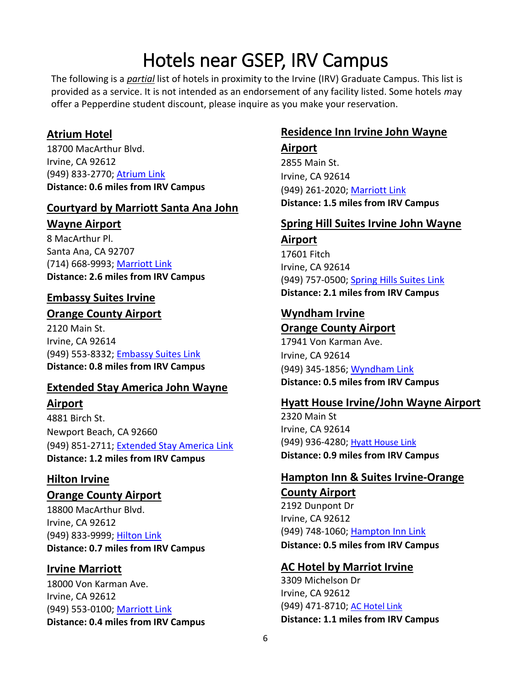## Hotels near GSEP, IRV Campus

The following is a *partial* list of hotels in proximity to the Irvine (IRV) Graduate Campus. This list is provided as a service. It is not intended as an endorsement of any facility listed. Some hotels *m*ay offer a Pepperdine student discount, please inquire as you make your reservation.

#### **Atrium Hotel**

18700 MacArthur Blvd. Irvine, CA 92612 (949) 833-2770; [Atrium Link](http://www.atriumhotel.com/) **Distance: 0.6 miles from IRV Campus**

#### **Courtyard by Marriott Santa Ana John**

#### **Wayne Airport**

8 MacArthur Pl. Santa Ana, CA 92707 (714) 668-9993; [Marriott Link](http://www.marriott.com/hotels/hotel-photos/snaog-courtyard-santa-ana-orange-county/) **Distance: 2.6 miles from IRV Campus**

#### **Embassy Suites Irvine**

**Orange County Airport**

2120 Main St. Irvine, CA 92614 (949) 553-8332; [Embassy Suites Link](http://embassysuites3.hilton.com/en/hotels/california/embassy-suites-by-hilton-irvine-orange-county-airport-KOLCAES/index.html) **Distance: 0.8 miles from IRV Campus**

#### **Extended Stay America John Wayne**

#### **Airport**

4881 Birch St. Newport Beach, CA 92660 (949) 851-2711; [Extended Stay America Link](https://www.extendedstayamerica.com/hotels/ca/orange-county/john-wayne-airport)  **Distance: 1.2 miles from IRV Campus**

#### **Hilton Irvine**

#### **Orange County Airport**

18800 MacArthur Blvd. Irvine, CA 92612 (949) 833-9999; [Hilton Link](http://www3.hilton.com/en/hotels/california/hilton-irvine-orange-county-airport-SNAOCHF/index.html) **Distance: 0.7 miles from IRV Campus**

#### **Irvine Marriott**

18000 Von Karman Ave. Irvine, CA 92612 (949) 553-0100; [Marriott Link](http://www.marriott.com/hotels/travel/laxir-irvine-) **Distance: 0.4 miles from IRV Campus** 

#### **Residence Inn Irvine John Wayne**

**Airport** 2855 Main St. Irvine, CA 92614 (949) 261-2020; [Marriott Link](http://www.marriott.com/hotels/hotel-photos/snaiv-residence-inn-irvine-john-wayne-airport-orange-county/)  **Distance: 1.5 miles from IRV Campus**

#### **Spring Hill Suites Irvine John Wayne**

**Airport** 17601 Fitch Irvine, CA 92614 (949) 757-0500; [Spring Hills Suites Link](http://www.marriott.com/hotels/travel/snaap-springhill-suites-irvine-john-wayne-airport-orange-county/) **Distance: 2.1 miles from IRV Campus**

#### **Wyndham Irvine Orange County Airport**

17941 Von Karman Ave. Irvine, CA 92614 (949) 345-1856; [Wyndham Link](https://www.wyndhamhotels.com/wyndham/irvine-california/wyndham-irvine-orange-county-airport/overview) **Distance: 0.5 miles from IRV Campus**

#### **Hyatt House Irvine/John Wayne Airport**

2320 Main St Irvine, CA 92614 (949) 936-4280; [Hyatt House Link](https://www.hyatt.com/en-US/hotel/california/hyatt-house-irvine-john-wayne-airport/snaxi) **Distance: 0.9 miles from IRV Campus**

#### **Hampton Inn & Suites Irvine-Orange County Airport**

2192 Dunpont Dr Irvine, CA 92612 (949) 748-1060; [Hampton Inn Link](https://www.hilton.com/en/hotels/snaiohx-hampton-suites-irvine-orange-county-airport/?SEO_id=YELP-HP-SNAIOHX) **Distance: 0.5 miles from IRV Campus**

#### **AC Hotel by Marriot Irvine**

3309 Michelson Dr Irvine, CA 92612 (949) 471-8710; [AC Hotel Link](https://www.marriott.com/hotels/travel/snaai-ac-hotel-irvine/) **Distance: 1.1 miles from IRV Campus**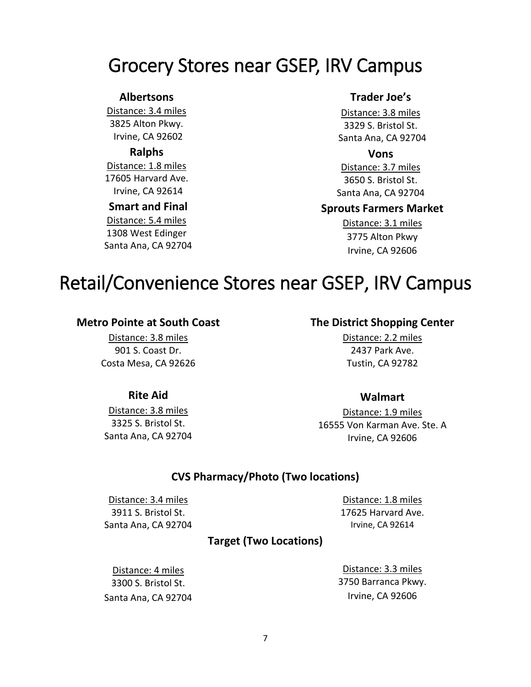### Grocery Stores near GSEP, IRV Campus

#### **Albertsons**

Distance: 3.4 miles 3825 Alton Pkwy. Irvine, CA 92602

#### **Ralphs**

Distance: 1.8 miles 17605 Harvard Ave. Irvine, CA 92614

#### **Smart and Final**

Distance: 5.4 miles 1308 West Edinger Santa Ana, CA 92704

#### **Trader Joe's**

Distance: 3.8 miles 3329 S. Bristol St. Santa Ana, CA 92704

**Vons**

Distance: 3.7 miles 3650 S. Bristol St. Santa Ana, CA 92704

#### **Sprouts Farmers Market**

Distance: 3.1 miles 3775 Alton Pkwy Irvine, CA 92606

## Retail/Convenience Stores near GSEP, IRV Campus

#### **Metro Pointe at South Coast**

Distance: 3.8 miles 901 S. Coast Dr. Costa Mesa, CA 92626

#### **The District Shopping Center**

Distance: 2.2 miles 2437 Park Ave. Tustin, CA 92782

#### **Rite Aid**

Distance: 3.8 miles 3325 S. Bristol St. Santa Ana, CA 92704

#### **Walmart**

Distance: 1.9 miles 16555 Von Karman Ave. Ste. A Irvine, CA 92606

#### **CVS Pharmacy/Photo (Two locations)**

Distance: 3.4 miles 3911 S. Bristol St. Santa Ana, CA 92704

Distance: 1.8 miles 17625 Harvard Ave. Irvine, CA 92614

#### **Target (Two Locations)**

Distance: 4 miles 3300 S. Bristol St. Santa Ana, CA 92704

Distance: 3.3 miles 3750 Barranca Pkwy. Irvine, CA 92606